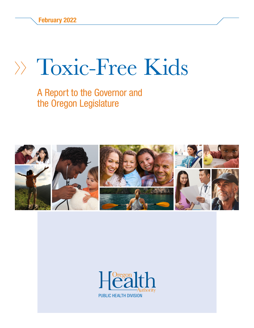# Toxic-Free Kids

#### A Report to the Governor and the Oregon Legislature



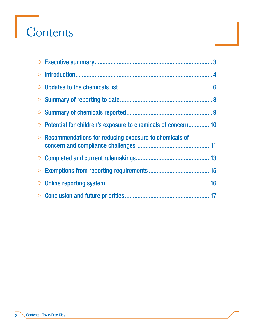# Contents

| >> Potential for children's exposure to chemicals of concern 10 |
|-----------------------------------------------------------------|
| $\gg$ Recommendations for reducing exposure to chemicals of     |
|                                                                 |
|                                                                 |
|                                                                 |
|                                                                 |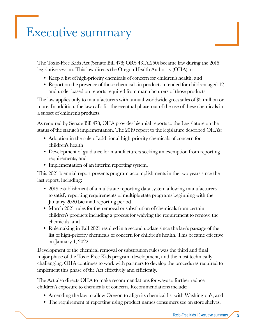### <span id="page-2-0"></span>Executive summary

The Toxic-Free Kids Act (Senate Bill 478; ORS 431A.250) became law during the 2015 legislative session. This law directs the Oregon Health Authority (OHA) to:

- Keep a list of high-priority chemicals of concern for children's health, and
- Report on the presence of those chemicals in products intended for children aged 12 and under based on reports required from manufacturers of those products.

The law applies only to manufacturers with annual worldwide gross sales of \$5 million or more. In addition, the law calls for the eventual phase-out of the use of these chemicals in a subset of children's products.

As required by Senate Bill 478, OHA provides biennial reports to the Legislature on the status of the statute's implementation. The 2019 report to the legislature described OHA's:

- Adoption in the rule of additional high-priority chemicals of concern for children's health
- Development of guidance for manufacturers seeking an exemption from reporting requirements, and
- Implementation of an interim reporting system.

This 2021 biennial report presents program accomplishments in the two years since the last report, including:

- 2019 establishment of a multistate reporting data system allowing manufacturers to satisfy reporting requirements of multiple state programs beginning with the January 2020 biennial reporting period
- March 2021 rules for the removal or substitution of chemicals from certain children's products including a process for waiving the requirement to remove the chemicals, and
- Rulemaking in Fall 2021 resulted in a second update since the law's passage of the list of high-priority chemicals of concern for children's health. This became effective on January 1, 2022.

Development of the chemical removal or substitution rules was the third and final major phase of the Toxic-Free Kids program development, and the most technically challenging. OHA continues to work with partners to develop the procedures required to implement this phase of the Act effectively and efficiently.

The Act also directs OHA to make recommendations for ways to further reduce children's exposure to chemicals of concern. Recommendations include:

- Amending the law to allow Oregon to align its chemical list with Washington's, and
- The requirement of reporting using product names consumers see on store shelves.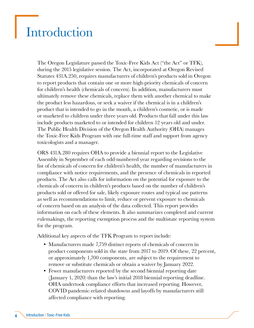#### <span id="page-3-0"></span>Introduction

The Oregon Legislature passed the Toxic-Free Kids Act ("the Act" or TFK), during the 2015 legislative session. The Act, incorporated at Oregon Revised Statutes 431A.250, requires manufacturers of children's products sold in Oregon to report products that contain one or more high-priority chemicals of concern for children's health (chemicals of concern). In addition, manufacturers must ultimately remove these chemicals, replace them with another chemical to make the product less hazardous, or seek a waiver if the chemical is in a children's product that is intended to go in the mouth, a children's cosmetic, or is made or marketed to children under three years old. Products that fall under this law include products marketed to or intended for children 12 years old and under. The Public Health Division of the Oregon Health Authority (OHA) manages the Toxic-Free Kids Program with one full-time staff and support from agency toxicologists and a manager.

ORS 431A.280 requires OHA to provide a biennial report to the Legislative Assembly in September of each odd-numbered year regarding revisions to the list of chemicals of concern for children's health, the number of manufacturers in compliance with notice requirements, and the presence of chemicals in reported products. The Act also calls for information on the potential for exposure to the chemicals of concern in children's products based on the number of children's products sold or offered for sale, likely exposure routes and typical use patterns as well as recommendations to limit, reduce or prevent exposure to chemicals of concern based on an analysis of the data collected. This report provides information on each of these elements. It also summarizes completed and current rulemakings, the reporting exemption process and the multistate reporting system for the program.

Additional key aspects of the TFK Program to report include:

- Manufacturers made 7,759 distinct reports of chemicals of concern in product components sold in the state from 2017 to 2019. Of these, 22 percent, or approximately 1,700 components, are subject to the requirement to remove or substitute chemicals or obtain a waiver by January 2022.
- Fewer manufacturers reported by the second biennial reporting date (January 1, 2020) than the law's initial 2018 biennial reporting deadline. OHA undertook compliance efforts that increased reporting. However, COVID pandemic-related shutdowns and layoffs by manufacturers still affected compliance with reporting.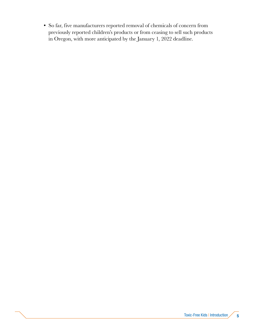• So far, five manufacturers reported removal of chemicals of concern from previously reported children's products or from ceasing to sell such products in Oregon, with more anticipated by the January 1, 2022 deadline.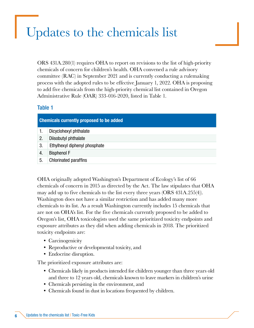### <span id="page-5-0"></span>Updates to the chemicals list

ORS 431A.280(1) requires OHA to report on revisions to the list of high-priority chemicals of concern for children's health. OHA convened a rule advisory committee (RAC) in September 2021 and is currently conducting a rulemaking process with the adopted rules to be effective January 1, 2022. OHA is proposing to add five chemicals from the high-priority chemical list contained in Oregon Administrative Rule (OAR) 333-016-2020, listed in Table 1.

#### Table 1

| <b>Chemicals currently proposed to be added</b> |                               |  |  |
|-------------------------------------------------|-------------------------------|--|--|
|                                                 | Dicyclohexyl phthalate        |  |  |
| 2.                                              | Diisobutyl phthalate          |  |  |
| 3.                                              | Ethylhexyl diphenyl phosphate |  |  |
| 4.                                              | <b>Bisphenol F</b>            |  |  |
| 5.                                              | <b>Chlorinated paraffins</b>  |  |  |
|                                                 |                               |  |  |

OHA originally adopted Washington's Department of Ecology's list of 66 chemicals of concern in 2015 as directed by the Act. The law stipulates that OHA may add up to five chemicals to the list every three years (ORS 431A.255(4)). Washington does not have a similar restriction and has added many more chemicals to its list. As a result Washington currently includes 15 chemicals that are not on OHA's list. For the five chemicals currently proposed to be added to Oregon's list, OHA toxicologists used the same prioritized toxicity endpoints and exposure attributes as they did when adding chemicals in 2018. The prioritized toxicity endpoints are:

- Carcinogenicity
- Reproductive or developmental toxicity, and
- Endocrine disruption.

The prioritized exposure attributes are:

- Chemicals likely in products intended for children younger than three years old and three to 12 years old, chemicals known to leave markers in children's urine
- Chemicals persisting in the environment, and
- Chemicals found in dust in locations frequented by children.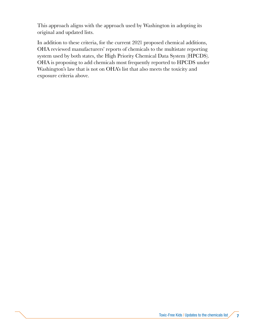This approach aligns with the approach used by Washington in adopting its original and updated lists.

In addition to these criteria, for the current 2021 proposed chemical additions, OHA reviewed manufacturers' reports of chemicals to the multistate reporting system used by both states, the High Priority Chemical Data System (HPCDS). OHA is proposing to add chemicals most frequently reported to HPCDS under Washington's law that is not on OHA's list that also meets the toxicity and exposure criteria above.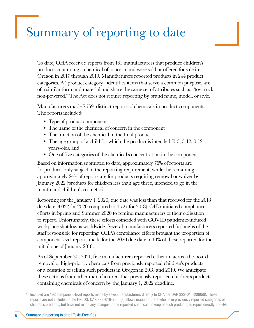## <span id="page-7-0"></span>Summary of reporting to date

To date, OHA received reports from 161 manufacturers that produce children's products containing a chemical of concern and were sold or offered for sale in Oregon in 2017 through 2019. Manufacturers reported products in 244 product categories. A "product category" identifies items that serve a common purpose, are of a similar form and material and share the same set of attributes such as "toy truck, non-powered." The Act does not require reporting by brand name, model, or style.

Manufacturers made 7,759<sup>1</sup> distinct reports of chemicals in product components. The reports included:

- Type of product component
- The name of the chemical of concern in the component
- The function of the chemical in the final product
- The age group of a child for which the product is intended  $(0-3; 3-12; 0-12)$ years-old), and
- One of five categories of the chemical's concentration in the component.

Based on information submitted to date, approximately 76% of reports are for products only subject to the reporting requirement, while the remaining approximately 24% of reports are for products requiring removal or waiver by January 2022 (products for children less than age three, intended to go in the mouth and children's cosmetics).

Reporting for the January 1, 2020, due date was less than that received for the 2018 due date (3,032 for 2020 compared to 4,727 for 2018). OHA initiated compliance efforts in Spring and Summer 2020 to remind manufacturers of their obligation to report. Unfortunately, these efforts coincided with COVID pandemic-induced workplace shutdowns worldwide. Several manufacturers reported furloughs of the staff responsible for reporting. OHA's compliance efforts brought the proportion of component-level reports made for the 2020 due date to 61% of those reported for the initial one of January 2018.

As of September 30, 2021, five manufacturers reported either an across-the-board removal of high-priority chemicals from previously reported children's products or a cessation of selling such products in Oregon in 2018 and 2019. We anticipate these actions from other manufacturers that previously reported children's products containing chemicals of concern by the January 1, 2022 deadline.

<sup>1</sup> Included are 192 component-level reports made by seven manufacturers directly to OHA per OAR 333-016-2060(8). These reports are not included in the HPCDS. OAR 333-016-2060(8) allows manufacturers who have previously reported categories of children's products, but have not made any changes to the reported chemical makeup of such products, to report directly to OHA.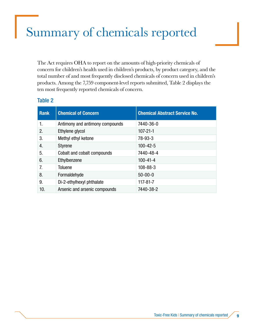# <span id="page-8-0"></span>Summary of chemicals reported

The Act requires OHA to report on the amounts of high-priority chemicals of concern for children's health used in children's products, by product category, and the total number of and most frequently disclosed chemicals of concern used in children's products. Among the 7,759 component-level reports submitted, Table 2 displays the ten most frequently reported chemicals of concern.

#### Table 2

| <b>Rank</b> | <b>Chemical of Concern</b>      | <b>Chemical Abstract Service No.</b> |
|-------------|---------------------------------|--------------------------------------|
| 1.          | Antimony and antimony compounds | 7440-36-0                            |
| 2.          | Ethylene glycol                 | $107 - 21 - 1$                       |
| 3.          | Methyl ethyl ketone             | 78-93-3                              |
| 4.          | <b>Styrene</b>                  | $100 - 42 - 5$                       |
| 5.          | Cobalt and cobalt compounds     | 7440-48-4                            |
| 6.          | Ethylbenzene                    | $100 - 41 - 4$                       |
| 7.          | Toluene                         | $108 - 88 - 3$                       |
| 8.          | Formaldehyde                    | $50 - 00 - 0$                        |
| 9.          | Di-2-ethylhexyl phthalate       | $117 - 81 - 7$                       |
| 10.         | Arsenic and arsenic compounds   | 7440-38-2                            |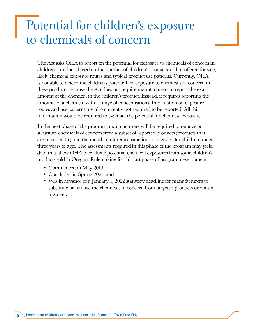#### <span id="page-9-0"></span>Potential for children's exposure to chemicals of concern

The Act asks OHA to report on the potential for exposure to chemicals of concern in children's products based on the number of children's products sold or offered for sale, likely chemical exposure routes and typical product use patterns. Currently, OHA is not able to determine children's potential for exposure to chemicals of concern in these products because the Act does not require manufacturers to report the exact amount of the chemical in the children's product. Instead, it requires reporting the amounts of a chemical with a range of concentrations. Information on exposure routes and use patterns are also currently not required to be reported. All this information would be required to evaluate the potential for chemical exposure.

In the next phase of the program, manufacturers will be required to remove or substitute chemicals of concern from a subset of reported products (products that are intended to go in the mouth, children's cosmetics, or intended for children under three years of age). The assessments required in this phase of the program may yield data that allow OHA to evaluate potential chemical exposures from some children's products sold in Oregon. Rulemaking for this last phase of program development:

- Commenced in May 2019
- Concluded in Spring 2021, and
- Was in advance of a January 1, 2022 statutory deadline for manufacturers to substitute or remove the chemicals of concern from targeted products or obtain a waiver.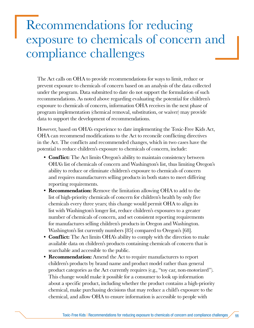#### <span id="page-10-0"></span>Recommendations for reducing exposure to chemicals of concern and compliance challenges

The Act calls on OHA to provide recommendations for ways to limit, reduce or prevent exposure to chemicals of concern based on an analysis of the data collected under the program. Data submitted to date do not support the formulation of such recommendations. As noted above regarding evaluating the potential for children's exposure to chemicals of concern, information OHA receives in the next phase of program implementation (chemical removal, substitution, or waiver) may provide data to support the development of recommendations.

However, based on OHA's experience to date implementing the Toxic-Free Kids Act, OHA can recommend modifications to the Act to reconcile conflicting directives in the Act. The conflicts and recommended changes, which in two cases have the potential to reduce children's exposure to chemicals of concern, include:

- Conflict: The Act limits Oregon's ability to maintain consistency between OHA's list of chemicals of concern and Washington's list, thus limiting Oregon's ability to reduce or eliminate children's exposure to chemicals of concern and requires manufacturers selling products in both states to meet differing reporting requirements.
- **Recommendation:** Remove the limitation allowing OHA to add to the list of high-priority chemicals of concern for children's health by only five chemicals every three years; this change would permit OHA to align its list with Washington's longer list, reduce children's exposures to a greater number of chemicals of concern, and set consistent reporting requirements for manufactures selling children's products in Oregon and Washington. Washington's list currently numbers [85] compared to Oregon's [68].
- **Conflict:** The Act limits OHA's ability to comply with the direction to make available data on children's products containing chemicals of concern that is searchable and accessible to the public.
- **Recommendation:** Amend the Act to require manufacturers to report children's products by brand name and product model rather than general product categories as the Act currently requires (e.g., "toy car, non-motorized"). This change would make it possible for a consumer to look up information about a specific product, including whether the product contains a high-priority chemical, make purchasing decisions that may reduce a child's exposure to the chemical, and allow OHA to ensure information is accessible to people with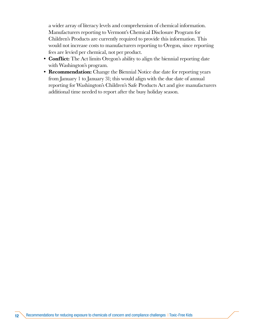a wider array of literacy levels and comprehension of chemical information. Manufacturers reporting to Vermont's Chemical Disclosure Program for Children's Products are currently required to provide this information. This would not increase costs to manufacturers reporting to Oregon, since reporting fees are levied per chemical, not per product.

- Conflict: The Act limits Oregon's ability to align the biennial reporting date with Washington's program.
- Recommendation: Change the Biennial Notice due date for reporting years from January 1 to January 31; this would align with the due date of annual reporting for Washington's Children's Safe Products Act and give manufacturers additional time needed to report after the busy holiday season.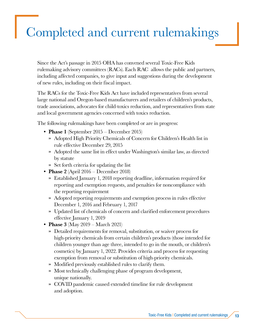# <span id="page-12-0"></span>Completed and current rulemakings

Since the Act's passage in 2015 OHA has convened several Toxic-Free Kids rulemaking advisory committees (RACs). Each RAC allows the public and partners, including affected companies, to give input and suggestions during the development of new rules, including on their fiscal impact.

The RACs for the Toxic-Free Kids Act have included representatives from several large national and Oregon-based manufacturers and retailers of children's products, trade associations, advocates for child-toxics reduction, and representatives from state and local government agencies concerned with toxics reduction.

The following rulemakings have been completed or are in progress:

- Phase 1 (September 2015 December 2015)
	- » Adopted High Priority Chemicals of Concern for Children's Health list in rule effective December 29, 2015
	- » Adopted the same list in effect under Washington's similar law, as directed by statute
	- » Set forth criteria for updating the list
- Phase 2 (April 2016 December 2018)
	- » Established January 1, 2018 reporting deadline, information required for reporting and exemption requests, and penalties for noncompliance with the reporting requirement
	- » Adopted reporting requirements and exemption process in rules effective December 1, 2016 and February 1, 2017
	- » Updated list of chemicals of concern and clarified enforcement procedures effective January 1, 2019
- **Phase 3** (May  $2019 \text{March } 2021$ )
	- » Detailed requirements for removal, substitution, or waiver process for high-priority chemicals from certain children's products (those intended for children younger than age three, intended to go in the mouth, or children's cosmetics) by January 1, 2022. Provides criteria and process for requesting exemption from removal or substitution of high-priority chemicals.
	- » Modified previously established rules to clarify them.
	- » Most technically challenging phase of program development, unique nationally.
	- » COVID pandemic caused extended timeline for rule development and adoption.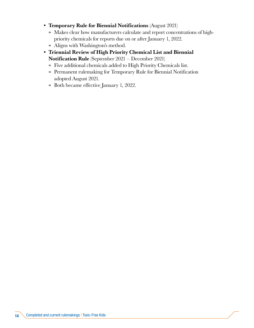- Temporary Rule for Biennial Notifications (August 2021)
	- » Makes clear how manufacturers calculate and report concentrations of highpriority chemicals for reports due on or after January 1, 2022.
	- » Aligns with Washington's method.
- Triennial Review of High Priority Chemical List and Biennial Notification Rule (September 2021 – December 2021)
	- » Five additional chemicals added to High Priority Chemicals list.
	- » Permanent rulemaking for Temporary Rule for Biennial Notification adopted August 2021.
	- » Both became effective January 1, 2022.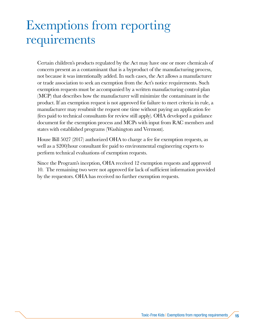#### <span id="page-14-0"></span>Exemptions from reporting requirements

Certain children's products regulated by the Act may have one or more chemicals of concern present as a contaminant that is a byproduct of the manufacturing process, not because it was intentionally added. In such cases, the Act allows a manufacturer or trade association to seek an exemption from the Act's notice requirements. Such exemption requests must be accompanied by a written manufacturing control plan (MCP) that describes how the manufacturer will minimize the contaminant in the product. If an exemption request is not approved for failure to meet criteria in rule, a manufacturer may resubmit the request one time without paying an application fee (fees paid to technical consultants for review still apply). OHA developed a guidance document for the exemption process and MCPs with input from RAC members and states with established programs (Washington and Vermont).

House Bill 5027 (2017) authorized OHA to charge a fee for exemption requests, as well as a \$200/hour consultant fee paid to environmental engineering experts to perform technical evaluations of exemption requests.

Since the Program's inception, OHA received 12 exemption requests and approved 10. The remaining two were not approved for lack of sufficient information provided by the requestors. OHA has received no further exemption requests.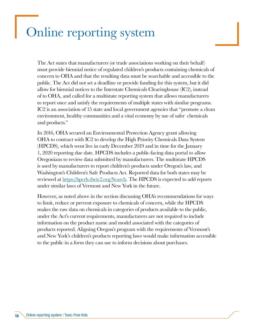#### <span id="page-15-0"></span>Online reporting system

The Act states that manufacturers (or trade associations working on their behalf) must provide biennial notice of regulated children's products containing chemicals of concern to OHA and that the resulting data must be searchable and accessible to the public. The Act did not set a deadline or provide funding for this system, but it did allow for biennial notices to the Interstate Chemicals Clearinghouse (IC2), instead of to OHA, and called for a multistate reporting system that allows manufacturers to report once and satisfy the requirements of multiple states with similar programs. IC2 is an association of 15 state and local government agencies that "promote a clean environment, healthy communities and a vital economy by use of safer chemicals and products."

In 2016, OHA secured an Environmental Protection Agency grant allowing OHA to contract with IC2 to develop the High Priority Chemicals Data System (HPCDS), which went live in early December 2019 and in time for the January 1, 2020 reporting due date. HPCDS includes a public-facing data portal to allow Oregonians to review data submitted by manufacturers. The multistate HPCDS is used by manufacturers to report children's products under Oregon's law, and Washington's Children's Safe Products Act. Reported data for both states may be reviewed at <https://hpcds.theic2.org/Search>. The HPCDS is expected to add reports under similar laws of Vermont and New York in the future.

However, as noted above in the section discussing OHA's recommendations for ways to limit, reduce or prevent exposure to chemicals of concern, while the HPCDS makes the raw data on chemicals in categories of products available to the public, under the Act's current requirements, manufacturers are not required to include information on the product name and model associated with the categories of products reported. Aligning Oregon's program with the requirements of Vermont's and New York's children's products reporting laws would make information accessible to the public in a form they can use to inform decisions about purchases.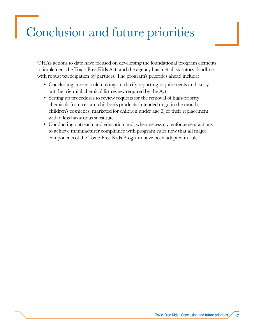## <span id="page-16-0"></span>Conclusion and future priorities

OHA's actions to date have focused on developing the foundational program elements to implement the Toxic-Free Kids Act, and the agency has met all statutory deadlines with robust participation by partners. The program's priorities ahead include:

- Concluding current rulemakings to clarify reporting requirements and carry out the triennial chemical list review required by the Act.
- Setting up procedures to review requests for the removal of high-priority chemicals from certain children's products (intended to go in the mouth, children's cosmetics, marketed for children under age 3) or their replacement with a less hazardous substitute.
- Conducting outreach and education and, when necessary, enforcement actions to achieve manufacturer compliance with program rules now that all major components of the Toxic-Free Kids Program have been adopted in rule.